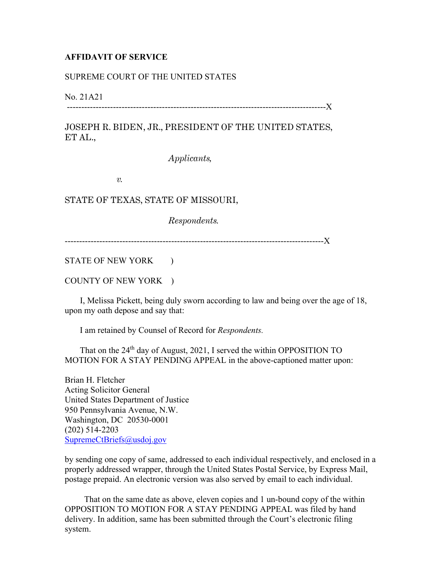## **AFFIDAVIT OF SERVICE**

## SUPREME COURT OF THE UNITED STATES

No. 21A21

------------------------------------------------------------------------------------------X

JOSEPH R. BIDEN, JR., PRESIDENT OF THE UNITED STATES, ET AL.,

*Applicants,* 

*v.* 

STATE OF TEXAS, STATE OF MISSOURI,

*Respondents.*

------------------------------------------------------------------------------------------X

STATE OF NEW YORK )

COUNTY OF NEW YORK )

 I, Melissa Pickett, being duly sworn according to law and being over the age of 18, upon my oath depose and say that:

I am retained by Counsel of Record for *Respondents.*

That on the 24<sup>th</sup> day of August, 2021, I served the within OPPOSITION TO MOTION FOR A STAY PENDING APPEAL in the above-captioned matter upon:

Brian H. Fletcher Acting Solicitor General United States Department of Justice 950 Pennsylvania Avenue, N.W. Washington, DC 20530-0001 (202) 514-2203 SupremeCtBriefs@usdoj.gov

by sending one copy of same, addressed to each individual respectively, and enclosed in a properly addressed wrapper, through the United States Postal Service, by Express Mail, postage prepaid. An electronic version was also served by email to each individual.

 That on the same date as above, eleven copies and 1 un-bound copy of the within OPPOSITION TO MOTION FOR A STAY PENDING APPEAL was filed by hand delivery. In addition, same has been submitted through the Court's electronic filing system.